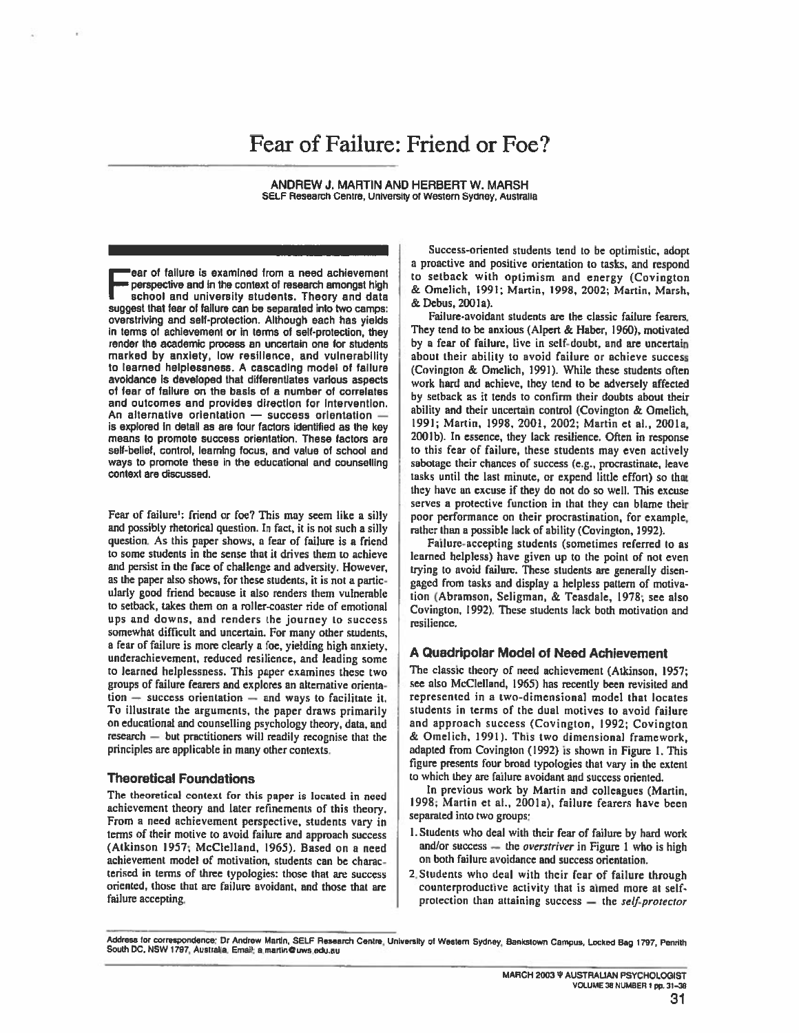# Fear of Failure: Friend or Foe?

ANDREW J. MARTIN AND HERBERT W. MARSH SELF Research Centre, University of Western Sydney, Australia

Fear of failure is examined from a need achievement perspective and in the context of research amongst high school and university students. Theory and data suggest that fear of failure can be separated into two camps: overstrivlng and self-protection. Although each has yields in terms of achievement or in terms of self-protection, they render the academic process an uncertain one for students marked by anxiety, low resilience, and vulnerability to learned helplessness. A cascading model of failure avoidance is developed that differentiates various aspects of fear of failure on the basis of <sup>a</sup> number of correlates and outcomes and provides direction for intervention. An alternative orientation — success orientation is explored in detail as are four factors identified as the key means lo promote success orientation. These factors are self-belief, control, learning focus, and value of school and ways to promote these in the educational and counselling context are discussed.

Fear of failure!: friend or foe? This may seem like a silly and possibly rhetorical question. In fact, it is not such a silly question. As this paper shows, a fear of failure is a friend to some students in the sense that it drives them to achieve and persist in the face of challenge and adversity. However, as the paper also shows, for these students, it is not <sup>a</sup> partic ularly good friend because it also renders them vulnerable to setback, takes them on <sup>a</sup> roller-coaster ride of emotional ups and downs, and renders the journey to success somewhat difficult and uncertain. For many other students, <sup>a</sup> fear of failure is more clearly <sup>a</sup> foe, <sup>y</sup>ielding high anxiety, underachievement, reduced resilience, and leading some to learned helplessness. This paper examines these two groups of failure fearers and explores an alternative orientation — success orientation — and ways to facilitate it. To illustrate the arguments. the paper draws primarily on educational and counselling psychology theory, data, and research — but practitioners will readily recognise that the principles are applicable in many other conlexts.

# Theoretical Foundations

The theoretical context for this paper is located in need achievement theory and later refinements of this theory. From <sup>a</sup> need achievement perspective, students vary in terms of their motive to avoid failure and approach success (Atkinson 1957; McCielland, 1965). Based on <sup>a</sup> need achievement model of motivation, students can be charac tensed in terms of three typologies: those that are success oriented, (hose that are failure avoidant, and those that are failure accepting.

Success-oriented students tend to be optimistic, adopt <sup>a</sup> proactive and positive orientation to tasks, and respond to selback with optimism and energy (Covington & Omelich, 1991; Martin, 1998, 2002; Martin, Marsh, & Debus, 200la).

Failure-avoidant students are the classic failure fearers. They tend to be anxious (Alpert & Haber, 1960), motivated by <sup>a</sup> fear of failure, live in self-doubt, and are uncertain about their ability to avoid failure or achieve success (Covington & Omelich, 1991). While these students often work hard and achieve, they tend to be adversely affected by setback as it tends to confirm their doubts about their ability and their uncertain control (Covington & Omelich, 1991; Martin, 1998. 2001, 2002; Martin et al,, 2001a, 2001b). In essence, they lack resilience. Often in response to this fear of failure, these students may even actively sabotagc their chances of success (e.g., procrastinate, leave tasks until the last minute, or expend little effort) so that they have an excuse if they do not do so well. This excuse serves <sup>a</sup> protective function in that they can blame their poor performance on their procrastination, for example, rather than a possible lack of ability (Covington, 1992).

Failure-accepting students (sometimes referred to as learned helpless) have given up to the point of not even trying to avoid failure. These students are generally disen gage<sup>d</sup> from tasks and display <sup>a</sup> helpless pattern of motiva tion (Abramson, Seligman, & Teasdale, 1978; see also Covington, 1992). These students lack both motivation and resilience.

# A Quadripolar Model of Need Achievement

The classic theory of need achievement (Atkinson, 1957; see also McClelland, 1965) has recently been revisited and represented in <sup>a</sup> two-dimensional model that locates students in terms of the dual motives to avoid failure and approach success (Covington, 1992; Covington & Omelich, 1991). This two dimensional framework, adapted from Covington (1992) is shown in Figure 1. This figure presents four broad typologies thai vary in the extent to which they are failure avoidant and success oriented.

In previous work by Martin and colleagues (Martin, 1998; Martin et al., 2001a), failure fearers have been separated into two groups:

- l.Studcnts who deal with their fear of failure by hard work and/or success  $-$  the *overstriver* in Figure 1 who is high on both failure avoidance and success orientation.
- 2.Students who deal with their fear of failure through counterproductive activity that is aimed more at selfprotection than attaining success — the self-protector

Address for correspondence: Dr Andrew Martin, SELF Research Centre, University of Western Sydney, Bankstown Campus, Locked Bag 1797, Penrith South DC, NSW 1797, Australia. Email: a martin@uws.edu.au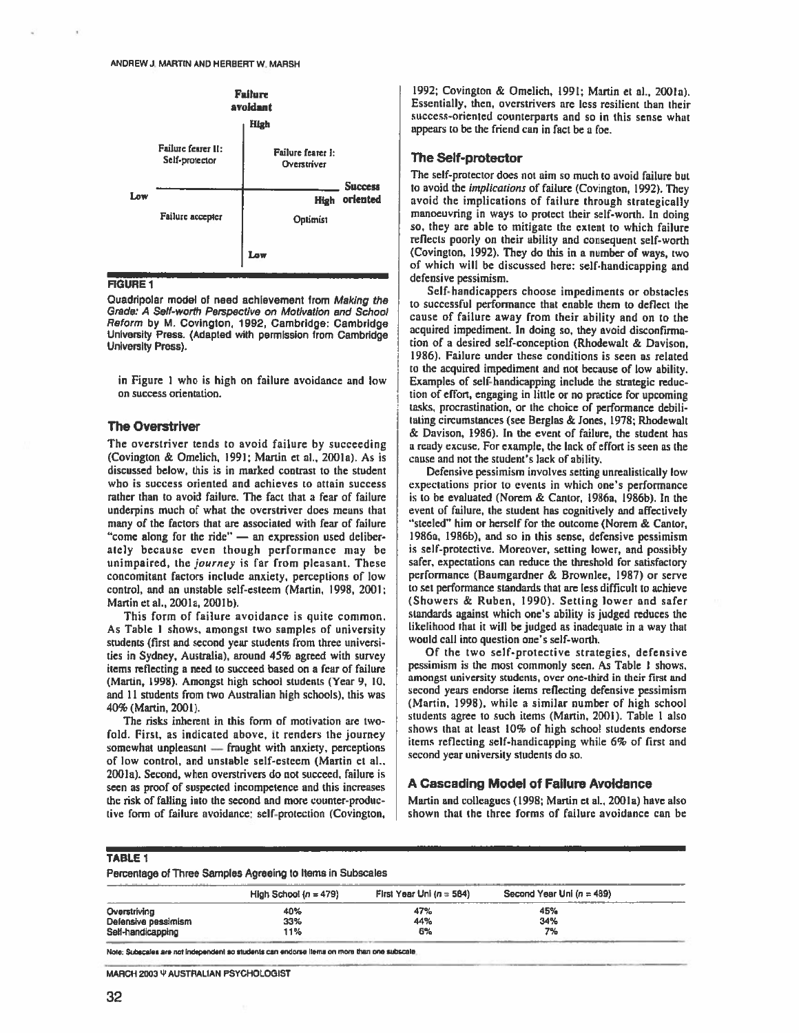

#### FIGURE 1

Quadripolar model of need achievement from Making the Grade: <sup>A</sup> Self-worth Perspective on Motivation and School Reform by M. Covington, 1992, Cambridge: Cambridge University Press. (Adapted with permission from Cambridge University Press).

in Figure I who is high on failure avoidance and low on success orientation.

## **The Overstriver**

The overstriver tends to avoid failure by succeeding (Covington & Omelich, 1991; Martin et al., 2001a). As is discussed below, this is in marked contrast to the student who is success oriented and achieves to attain success rather than to avoid failure. The fact that <sup>a</sup> fear of failure underpins much of what the overstriver does means that many of the factors that are associaled with fear of failure 'come along for the ride" — an expression used deliber ately because even though performance may be unimpaired, the journey is far from pleasant. These concomitant factors include anxiety, perceptions of low' control, and an unstable self-esteem (Martin, 1998, 2001; Martinet al,, 2001a, 2001b),

This form of failure avoidance is quite common. As Table <sup>I</sup> shows, amongs<sup>t</sup> two samples of university students (first and second year students from three universi ties in Sydney, Australia), around 45% agreed with survey items reflecting <sup>a</sup> need to succeed based on <sup>a</sup> fear of failure (Martin, 1998). Amongst high school students (Year 9, 10. and 11 students from two Australian high schools), this was 40% (Martin, 2001).

The risks inherent in this form of motivation are twofold. First, as indicated above, it renders the journey somewhat unpleasant — fraught with anxiety, perceptions of low control, and unstable self-esteem (Martin et al., 2001a). Second, when overstrivers do not succeed, failure is seen as proof of suspected incompetence and this increases the risk of falling into the second and more counter-produc tive form of failure avoidance: self-protection (Covington,

1992; Covington & Omelich, 1991; Martin el al., 200la). Essentially, then, overstrivers are less resilient than their success-oriented counterparts and so in this sense what appears to be the friend can in fact be <sup>a</sup> foe.

## The Self-protector

The self-protector does not aim so much io avoid failure but to avoid the *implications* of failure (Covington, 1992). They avoid the implications of failure through strategically manoeuvring in ways to protect their self-worth. In doing so. they are able to mitigate the extent to which failure reflects poorly on their ability and consequen<sup>t</sup> self-worth (Covington, 1992). They do this in <sup>a</sup> number of ways, two of which will be discussed here: self-handicapping and defensive pessimism.

Self-handicappers choose impediments or obstacles to successful performance that enable them to deflect the cause of failure away from their ability and on to the acquired impediment. In doing so, they avoid disconfirmation of a desired self-conception (Rhodewalt & Davison, 1986). Failure under these conditions is seen as related to the acquired impediment and not because of low ability. Examples of self-handicapping include the strategic reduc tion of effort, engaging in little or no practice for upcoming tasks, procrastination, or the choice of performance debili tating circumstances (see Berglas & Jones, 1978; Rhodewalt & Davison, 1986). In the event of failure, the student has <sup>a</sup> ready excuse. For example, the lack of effort is seen as the cause and not the student's lack of ability.

Defensive pessimism involves setting unrealistically low expectations prior to events in which one's performance is to be evaluated (Norem & Cantor, 1986a, l986b), In the event of failure, the student has cognitively and affectively "steeled" him or herself for the outcome (Norem & Cantor, 1986a, l986b), and so in this sense, defensive pessimism is self-protective. Moreover, setting lower, and possibly safer, expectations can reduce the threshold for satisfactory performance (Baumgardner & Brownlee, 1987) or serve to set performance standards that are less difficult to achieve (Showers & Ruben, 1990). Setting lower and safer standards against which one's ability is judged reduces the likelihood that it will be judged as inadequate in <sup>a</sup> way that would call into question one's self-worth.

Of the two self-protective strategies, defensive pessimism is the most commonly seen. As Table I shows, amongs<sup>t</sup> university students, over one-third in their first and second years endorse items reflecting defensive pessimism (Martin, 1998). while <sup>a</sup> similar number of high school students agree to such items (Martin, 2001). Table I also shows that at least 10% of high school students endorse items reflecting self-handicapping while 6% of first and second year university students do so.

## A Cascading Model of Failure Avoidance

Martin and colleagues (1998; Martinet al,, 2001a) have also shown that the three forms of failure avoidance can be

#### TABLE 1

Percentage of Three Samples Agreeing to Items in Subscales

|                     | High School $(n = 479)$ | First Year Uni $(n = 584)$ | Second Year Uni $(n = 489)$ |
|---------------------|-------------------------|----------------------------|-----------------------------|
| Overstriving        | 40%                     | 47%                        | 45%                         |
| Defensive pessimism | 33%                     | 44%                        | 34%                         |
| Self-handicapping   | 11%                     | 6%                         | 7%                          |

Note: Subscales are not independent so students can endorse Items on more than one subscale

MARCH 2003 \* AUSTRALIAN PSYCHOLOGIST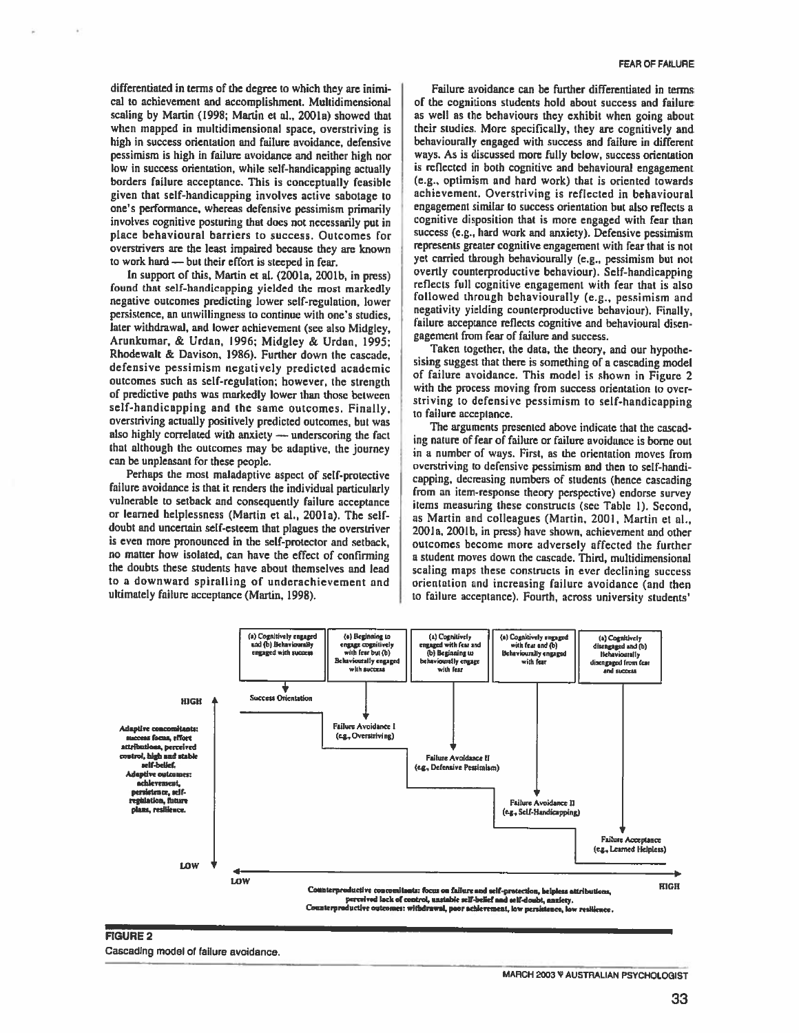differentiated in terms of the degree to which they are inimi cal to achievement and accomplishment. Multidimensional scaling by Martin (1998; Martin et al., 2001a) showed that when mapped in multidimensional space, overstriving is high in success orientation and failure avoidance, defensive pessimism is high in failure avoidance and neither high nor low in success orientation, while self-handicapping actually borders failure acceptance. This is conceptually feasible <sup>g</sup>iven that self-handicapping involves active sabotage to one's performance, whereas defensive pessimism primarily involves cognitive posturing that does not necessarily put in place behavioural barriers to success. Outcomes for overstrivers are the least impaired because they are known to work hard — but their effort is steeped in fear.

In support of this, Martin et al. (200la, 200lb, in press) found that self-handicapping <sup>y</sup>ielded the most markedly negative outcomes predicting lower self-regulation, lower persistence, an unwillingness to continue with one's studies, later withdrawal, and lower achievement (see also Midgley, Arunkumar, & Urdan, 1996; Midgley & Urdan, 1995; Rhodewalt & Davison, 1986). Further down the cascade, defensive pessimism negatively predicted academic outcomes such as self-regulation; however, the strength of predictive paths was markedly lower than those beiween self-handicapping and the same outcomes. Finally, nverstriving actually positively predicted outcomes, but was also highly correlated with anxiety — underscoring the fact that although the outcomes may be adaptive, the journey can be unpleasant for these people.

Perhaps the most maladaptive aspect of self-protective failure avoidance is that it renders the individual particularly vulnerable to setback and consequently failure acceptance or learned helplessness (Martin et al. 2001a), The selfdoubt and uncertain self-esteem that plagues the overstriver is even more pronounced in the self-protector and setback, no matter how isolated, can have the effect of confirming the doubts these students have about themselves and lead to <sup>a</sup> downward spiralling of underachievement and ultimately failure acceptance (Martin, 1998).

Failure avoidance can be further differentiated in terms of the cognitions students hold about success and failure as well as the behaviours they exhibit when going about their studies. More specifically, they are cognitively and behaviourally engaged with success and failure in different ways. As is discussed more fully below, success orientation is reflected in both cognitive and behavioural engagement (e.g., optimism and hard work) that is oriented towards achievement. Overstriving is reflected in behavioural engagement similar to success orientation but also reflects <sup>a</sup> cognitive disposition that is more engaged with fear than success (e.g.. hard work and anxiety). Defensive pessimism represents greater cognitive engagement with fear that is not yet carried through behaviourally (e.g., pessimism but not overtly counterproductive behaviour). Self-handicapping reflects full cognitive engagement with fear that is also followed through behaviourally (e.g., pessimism and negativity <sup>y</sup>ielding counterproductive behaviour). Finally, failure acceptance reflects cognitive and behavioural disen gagement from fear of failure and success.

Taken together, the data, the theory, and our hypothe sising suggest that there is something of <sup>a</sup> cascading model of failure avoidance. This model is shown in Figure <sup>2</sup> with the process moving from success orientation to overstriving to defensive pessimism to self-handicapping to failure acceptance.

The arguments presented above indicate that the cascading nature of fear of failure or failure avoidance is home out in <sup>a</sup> number of ways. First, as the orientation moves from overstriving to defensive pessimism and then to self-handi capping, decreasing numbers of students (hence cascading from an item-response theory perspective) endorse survey items measuring these constructs (see Table I). Second, as Martin and colleagues (Martin, 2001, Martin et al., 2001a, 2001b, in press) have shown, achievement and other outcomes become more adversely affected the further <sup>a</sup> student moves down the cascade. Third, multidimensional scaling maps these constructs in ever declining success orientation and increasing failure avoidance (and then to failure acceptance). Fourth, across university students'



FIGURE 2 Cascading model of failure avoidance.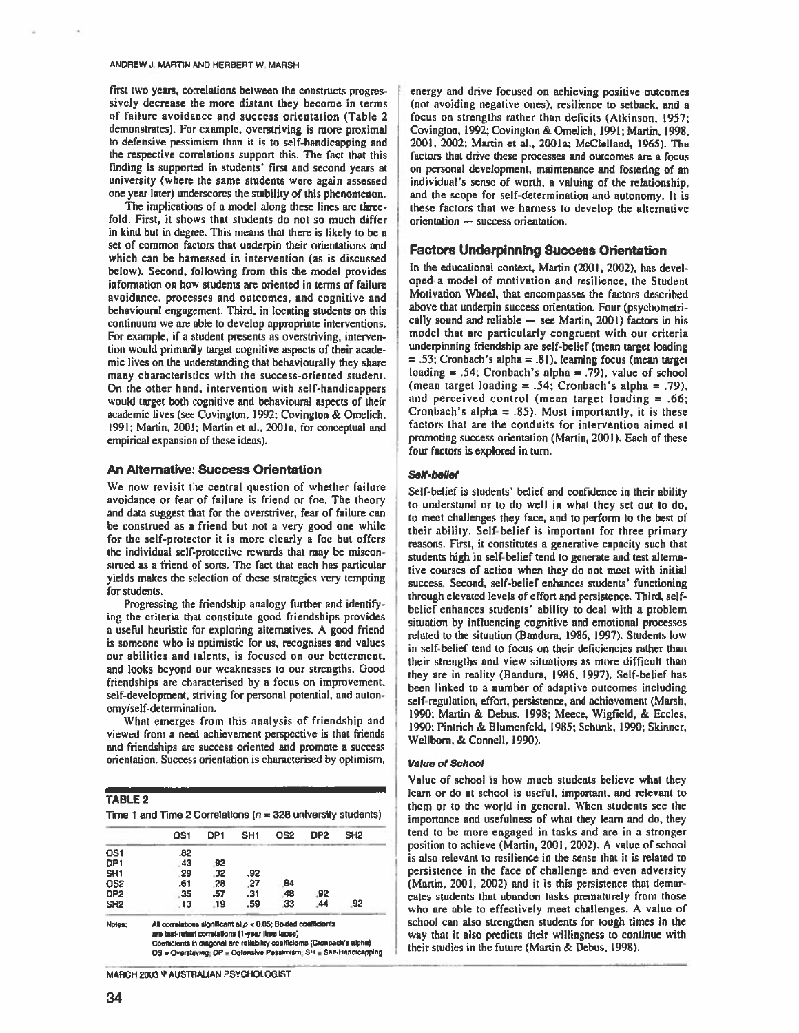#### ANDREW J. MARTIN AND HER6ERT W. MARSH

first two years, correlations between the constructs progres sively decrease the more distant they become in terms of failure avoidance and success orientation (Table 2 demonstrates). For example, overstriving is more proximal to defensive pessimism than it is to self-handicapping and the respective correlations suppor<sup>t</sup> this. The fact that this finding is supported in students' first and second years at university (where the same students were again assessed one year later) underscores the stability of this phenomenon.

The implications of <sup>a</sup> model along these lines are three fold. First, it shows that students do not so much differ in kind but in degree. This means that there is likely to be <sup>a</sup> set of common factors that underpin their orientations and which can be harnessed in intervention (as is discussed below). Second. following from this the model provides information on how students are oriented in terms of failure avoidance, processes and outcomes, and cognitive and behavioural engagement. Third, in locating students on this continuum we are able to develop appropriate interventions. For example, if <sup>a</sup> student presents as overstriving, interven tion would primarily target cognitive aspects of their acade mic lives on the understanding that behaviourally they share many characteristics with the success-oriented student. On the other hand, intervention with self-handicappers would target both cognitive and behavioural aspects of their academic lives (see Covington, 1992; Covington & Omelich, 1991; Martin, 2001; Martin et al., 2001a, for conceptual and empirical expansion of these ideas).

#### An Alternative: Success Orientation

We now revisit the central question of whether failure avoidance or fear of failure is friend or foe. The theory and data suggest that for the overstriver, fear of failure can be construed as <sup>a</sup> friend but not <sup>a</sup> very good one while for the self-protector it is more clearly a foe but offers the individual self-protective rewards that may be miscon strued as <sup>a</sup> friend of sorts. The fact that each has particular yields makes the selection of these strategies very tempting for students.

Progressing the friendship analogy further and identify ing the criteria that constitute good friendships provides <sup>a</sup> useful heuristic for exploring alternatives. A good friend is someone who is optimistic for us, recognises and values our abilities and talents, is focused on our betterment, and looks beyond our weaknesses to our strengths. Good friendships are characterised by <sup>a</sup> focus on improvement, self-development, striving for persona<sup>l</sup> potential, and auton omy/self-determination.

What emerges from this analysis of friendship and viewed from <sup>a</sup> need achievement perspective is that friends and friendships are success oriented and promote <sup>a</sup> success orientation. Success orientation is characterised by optimism,

| <b>TABLE 2</b>                                                  |  |
|-----------------------------------------------------------------|--|
| Time 1 and Time 2 Correlations ( $n = 328$ university students) |  |

| OS1 | DP <sub>1</sub> | SH <sub>1</sub> | OS <sub>2</sub> | DP <sub>2</sub>                                  | SH <sub>2</sub>                                                     |
|-----|-----------------|-----------------|-----------------|--------------------------------------------------|---------------------------------------------------------------------|
| .82 |                 |                 |                 |                                                  |                                                                     |
| 43  | 92              |                 |                 |                                                  |                                                                     |
| 29  | 32 <sub>2</sub> | .92             |                 |                                                  |                                                                     |
| .61 | .28             | .27             | 84              |                                                  |                                                                     |
| .35 | .57             | .31             | 48              | .92                                              |                                                                     |
| 13  | .19             | .59             | 33              | 44                                               | .92                                                                 |
|     |                 |                 |                 |                                                  |                                                                     |
|     |                 |                 |                 | are test-retest correlations (1-year lime lapse) | All correlations significant at $\rho < 0.05$ ; Bolded coefficients |

cients in diagonal arc reliability coefficients (Cronbuch's alpha) OS = Overstriving: OP = Defensive Pessimism: SH = Self-Handicapping

MARCH 2003 \\ AUSTRALIAN PSYCHOLOGIST

energy and drive focused on achieving positive outcomes (not avoiding negative ones), resilience to setback, and <sup>a</sup> focus on strengths rather than deficits (Atkinson, 1957; Covington, 1992; Covington & Omelich, 1991; Martin, 1998, 2001, 2002; Martin et al., 2001a; McClelland, 1965). The factors that drive these processes and outcomes are <sup>a</sup> focus on persona<sup>l</sup> development, maintenance and fostering of an individual's sense of worth, <sup>a</sup> valuing of the relationship, and the scope for self-determination and autonomy. It is these factors that we harness to develop the alternative orientation — success orientation.

## Factors Underpinning Success Orientation

In the educational context, Martin (2001, 2002), has developed a model of motivation and resilience, the Student Motivation Wheel, that encompasses the factors described above that underpin success orientation. Four (psychometrically sound and reliable — see Martin, 2001) factors in his model that are particularly congruen<sup>t</sup> with our criteria underpinning friendship are self-belief (mean target loading = .53; Cwnbach's alpha <sup>=</sup> .81), learning focus (mean target loading = .54; Cronbach's alpha = .79), value of school (mean target loading  $= .54$ ; Cronbach's alpha  $= .79$ ), and perceived control (mean target loading  $= .66$ ; Cronbach's alpha  $= .85$ ). Most importantly, it is these factors that are the conduits for intervention aimed at promoting success orientation (Martin, 2001). Each of these four factors is explored in turn.

## Self-belief

Self-belief is students' belief and confidence in their ability to understand or to do well in what they set out to do, to meet challenges they face, and to perform to the best of their ability. Self-belief is important for three primary reasons. First, it constitutes <sup>a</sup> generative capacity such that students high in self-belief tend to generate and test alterna tive courses of action when they do not meet with initial success. Second, self-belief enhances students' functioning through elevated levels of effort and persistence. Third, selfbelief enhances students' ability to deal with <sup>a</sup> problem situation by influencing cognitive and emotional processes related to the situation (Bandura, 1986, 1997), Students low in self-belief tend to focus on their deficiencies rather than their strengths and view situations as more difficult than they are in reality (Bandura, 1986, 1997). Self-belief has been linked to <sup>a</sup> number of adaptive outcomes including self-regulation, effort, persistence, and achievement (Marsh, 1990; Martin & Debus, 1998; Meece, Wigfield. & Eccles. 1990; Pintrich & Blumenfeld, 1985; Schunk, 1990; Skinner, Wellbom, & Connell, 1990).

#### Value of School

Value of school is how much students believe what they learn or do at school is useful, important, and relevant to them or to the world in general. When students see the importance and usefulness of what they learn and do. they tend to be more engaged in tasks and are in <sup>a</sup> stronger position to achieve (Martin, 2001, 2002). A value of school is also relevant to resilience in the sense ihat it is related to persistence in the face of challenge and even adversity (Martin, 2001, 2002) and it is this persistence that demar cates students that abandon tasks prematurely from those who are able to effectively meet challenges. A value of school can also strengthen students for tough times in the way that it also predicts their willingness to continue with their studies in the future (Martin & Debus, L998).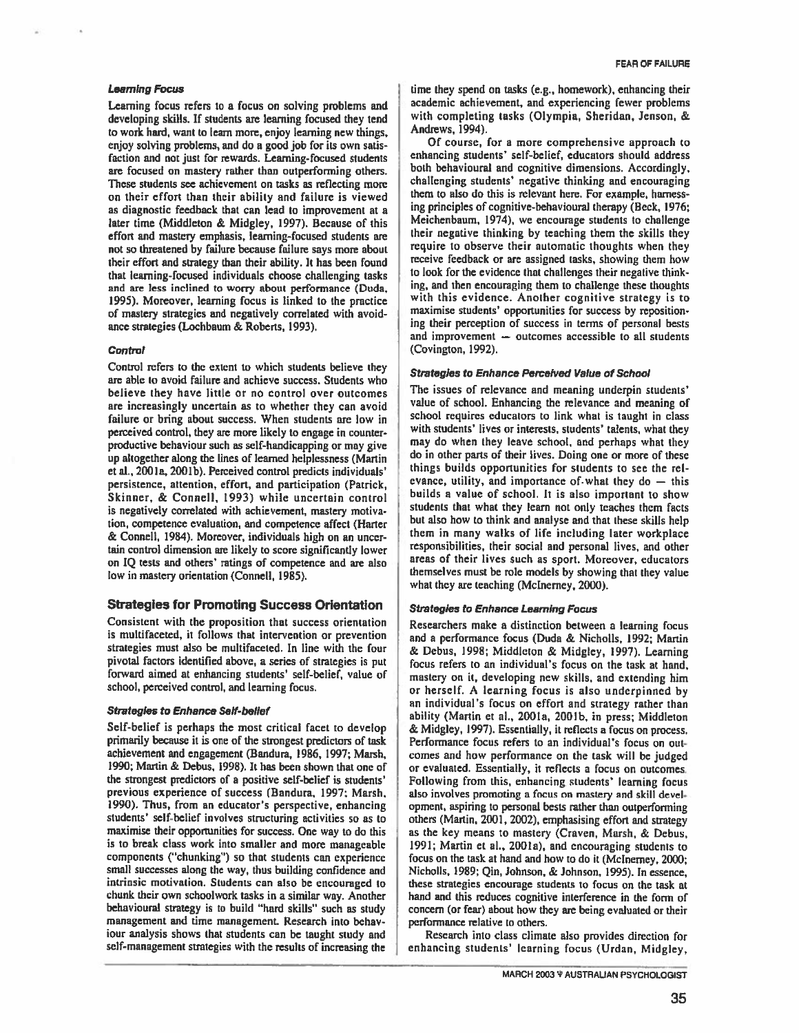#### Learning Focus

Learning focus refers to <sup>a</sup> focus on solving problems and developing skills. If students are learning focused they tend to work hard, want to learn more, enjoy learning new things, enjoy solving problems, and do <sup>a</sup> good job for its own satis faction and not just for rewards. Learning-focused students are focused on mastery rather than outperforming others. These students see achievement on tasks as reflecting more on their effort than their ability and failure is viewed as diagnostic feedback that can lead to improvement at <sup>a</sup> Inter time (Middleton & Midgley, 1997). Because of this effort and mastery emphasis, learning-focused students are not so threatened by failure because failure says more about their effort and strategy than their ability. It has been found that learning-focused individuals choose challenging tasks and are less inclined to worry about performance (Duda, 1995). Moreover, learning focus is linked to the practice of mastery strategies and negatively correlated with avoid ance strategies (Lochbaum & Roberts, 1993)

#### **Control**

Control refers to the extent to which students believe they are able to avoid failure and achieve success. Students who believe they have little or no control over outcomes are increasingly uncertain as to whether they can avoid failure or bring about success. When students are low in perceived control, they are more likely to engage in counter productive behaviour such as self-handicapping or may <sup>g</sup>ive up altogether along the lines of learned helplessness (Marlin et al., ZOOla, 2001b). Perceived control predicts individuals' persistence, attention, effort, and participation (Patrick, Skinner, & Connell, 1993) while uncertain control is negatively correlated with achievement, mastery motiva tion, competence evaluation, and competence affect (Hatter & Connell, 1984). Moreover, individuals high on an uncer tain control dimension are likely to score significantly lower on IQ tests and others' ratings of competence and are also low in mastery orientation (Connell, 1985).

## Strategies for Promoting Success Orientation

Consistent with the proposition that success orientation is multifaceted, it follows that intervention or prevention strategies must also be multifaceted. In line with the four <sup>p</sup>ivotal factors identified above, <sup>a</sup> series of strategies is pu<sup>t</sup> forward aimed at enhancing students' self-belief, value of school, perceived control, and learning focus.

#### Strategies to Enhance Self-belief

Self-belief is perhaps the most critical facet to develop primarily because it is one of the strongest predictors of task achievement and engagement (Bandura, 1986, 1997; Marsh, 1990; Martin & Debus, 1998). It has been shown that one of the strongest predictors of <sup>a</sup> positive self-belief is students' previous experience of success (Bandura, 1997; Marsh, 1990). Thus, from an educator's perspective, enhancing students' self-belief involves structuring activities so as to maximise their opportunities for success. One way to do this is to break class work into smaller and more manageable components ('chunking") so that students can experience small successes along the way, thus building confidence and intrinsic motivation. Students can also be encouraged to chunk their own schoolwork tasks in <sup>a</sup> similar way. Another behavioural strategy is to build "hard skills" such as study managemen<sup>t</sup> and time managemen<sup>t</sup> Research into behav iour analysis shows that students can be taught study and self-management strategies with the results of increasing the time they spend on tasks (e.g.. homework), enhancing their academic achievement, and experiencing fewer problems with completing tasks (Olympia, Sheridan, Jenson. & Andrews, 1994).

Of course, for <sup>a</sup> more comprehensive approach to enhancing students' self-belief, educators should address both behavioural and cognitive dimensions. Accordingly, challenging students' negative thinking and encouraging them to also do this is relevant here. For example, harness ing principles of cognitive-behavioural therapy (Beck, 1976; Meichenbaum, 1974), we encourage students to challenge their negative thinking by teaching them the skills they require to observe their automatic thoughts when they receive feedback or are assigned tasks, showing them how to look for the evidence that challenges their negative think ing. and then encouraging them to challenge these thoughts with this evidence. Another cognitive strategy is to maximise students' opportunities for success by reposition ing their perception of success in terms of personal bests and improvement — outcomes accessible to all students (Covington, 1992).

#### Strategies to Enhance Perceived Value of School

The issues of relevance and meaning underpin students' value of school. Enhancing the relevance and meaning of school requires educators to link what is taught in class with students' lives or interests, students' talents, what they may do when they leave school, and perhaps what they do in other parts of their lives. Doing one or more of these things builds opportunities for students to see the rel evance, utility, and importance of what they do - this builds <sup>a</sup> value of school. It is also important to show students that what they learn not only teaches them facts but also how to think and analyse and that these skills help them in many walks of life including later workplace responsibilities, their social and personal lives, and other areas of their lives such as sport. Moreover, educators themselves must be role models by showing that they value what they are teaching (Mclnemey. 2000).

#### Strategies to Enhance Learning Focus

Researchers make <sup>a</sup> distinction between <sup>a</sup> learning focus and <sup>a</sup> performance focus (Duda & Nicholls, 1992; Martin & Debus, 1998; Middleton & Midgley, 1997). Learning focus refers to an individual's focus on the task at hand, mastery on it, developing new skills, and extending him or herself. <sup>A</sup> learning focus is also underpinned by an individual's focus on effort and strategy rather than ability (Martin ci al., 200la, 200lb, in press; Middleton & Midgley, 1997), Essentially, it reflects <sup>a</sup> focus on process. Performance focus refers to an individual's focus on out comes and how performance on the task will be judged or evaluated. Essentially, it reflects <sup>a</sup> focus on outcomes. Following from this, enhancing students' learning focus also involves promoting a focus on mastery and skill development, aspiring to persona<sup>l</sup> bests rather than outperforming others (Martin, 2001,2002), emphasising effort and strategy as the key means to mastery (Craven, Marsh, & Debus 1991; Martin et al., 2001a), and encouraging students to focus on the task at hand and how to do it (Mclnerney, 2000; Nicholls. 1989; Qin, Johnson, & Johnson, 1995). In essence, these strategies encourage students to focus on the task at hand and this reduces cognitive interference in the form of concern (or fear) about how they are being evaluated or their performance relative to others.

Research into class climate also provides direction for enhancing students' learning focus (Urdan, Midglcy,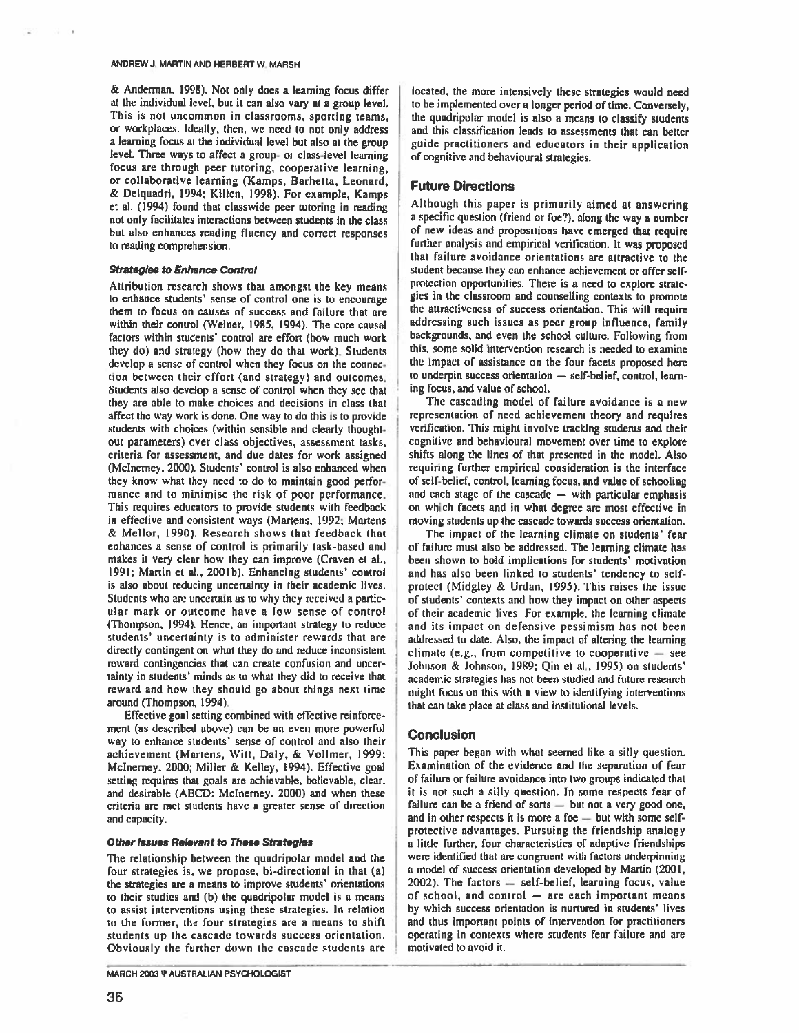& Andennan, 1998). Not only does <sup>a</sup> learning focus differ at the individual level, but it can also vary at <sup>a</sup> group level. This is not uncommon in classrooms, sporting teams, or workplaces. Ideally, then, we need to not only address a learning focus at the individual level but also at the group level. Three ways to affect <sup>a</sup> group- or class-level learning focus are through peer tutoring, cooperative learning, or collaborative learning (Kamps, Barhetta, Leonard, & Delquadri, 1994; Killen, 1998). For example, Kamps et al. (1994) found that classwide peer tuloring in reading not only facilitates interactions between students in the class but also enhances reading fluency and correct responses to reading comprehension.

#### Strategies to Enhance Control

Attribution research shows that amongs<sup>t</sup> the key means <sup>10</sup> enhance students' sense of control one is tu encourage them to focus on causes of success and failure that are within their control (Weiner. 1985. 1994). The core causal factors within students' control are effort (how much work they do) and strategy (how they do that work). Students develop <sup>a</sup> sense of control when they focus on the connec tion between their effort (and strategy) and outcomes, Students also develop <sup>a</sup> sense of control when they see that they are able to make choices and decisions in class that affect the way work is done. One way to do this is to provide students with choices (within sensible and clearly thoughtout parameters) over class objectives, assessment tasks. criteria for assessment, and due dates for work assigned (McInerney, 2000). Students' control is also enhanced when they know what they need to do to maintain good performance and to minimise the risk of poor performance. This requires educators to provide students with feedback in effective and consistent ways (Martens, 1992: Martens & Mellor, 1990). Research shows that feedback that cahances <sup>a</sup> sense of control is primarily task-based and makes it very clear how they can improve (Craven et al., 1991; Martinet al,, 200lb). Enhancing students' control is also about reducing uncertainty in their academic lives. Students who are uncertain as to why they received <sup>a</sup> partic ular mark or outcome have <sup>a</sup> low sense of control (Thompson, 1994), Hence, an important strategy to reduce students' uncertainty is to administer rewards that are directly contingent on what they do and reduce inconsistent reward contingencies that can create confusion and uncer tainty in students' minds as to what they did to receive that reward and how they should go about things next time around (Thompson, 1994).

Effective goal setting combined with effective reinforce ment (as described above) can be an even more powerful way to enhance students' sense of control and also their achievement (Martens, Witt, Daly, & Vollmer, 1999; Mclnerney. 2000; Miller & Kelley. 1994). Effective goal setting requires that goals are achievable, believable, clear, and desirable (ABCD; Mc[nerney. 2000) and when these criteria are met students have <sup>a</sup> greater sense of direction and capacity.

#### Other Issues Relevant to These Strategies

The relationship between the quadripolar model and the four strategies is, we propose, bi-directional in that (a) the strategies are <sup>a</sup> means to improve students' orientations to their studies and (b) the quadripolar model is <sup>a</sup> means to assist interventions using these strategies. in relation to the former, the four strategies are <sup>a</sup> means to shift students up the cascade towards success orientation. Obviously the further down the cascade students are

located, the more intensively these strategies would need to be implemented over <sup>a</sup> longer period of time, Conversely, the quadripolar model is also <sup>a</sup> means to classify students and this classification leads to assessments that can belter guide practitioners and educators in their application of cognitive and behavioural strategies.

## Future Directions

Although this paper is primarily aimed at answering <sup>a</sup> specific question (friend or foe?), along the way <sup>a</sup> number of new ideas and propositions have emerge<sup>d</sup> that require further analysis and empirical verification. It was propose<sup>d</sup> that failure avoidance orientations are attractive to the student because they can enhance achievement or offer selfprotection opportunities. There is <sup>a</sup> need to explore strate gies in the classroom and counselling contexts to promote the attractiveness of success orientation. This will require addressing such issues as peer group influence, family backgrounds, and even the school culture, following from this, some solid intervention research is needed to examine the impact of assistance on the four facets proposed herc to underpin success orientation — self-belief, control, learn ing focus, and value of school.

The cascading model of failure avoidance is <sup>a</sup> new representation of need achievement theory and requires verification. This might involve tracking students and their cognitive and behavioural movement over time to explore shifts along the lines of that presented in the model. Also requiring further empirical consideration is the interface of self-belief, control, learning focus, and value of schooling and each stage of the cascade — with particular emphasis on which facets and in what degree are most effective in moving students up the cascade towards success orientation.

The impact of the learning climate on students' fear of failure must also be addressed. The learning climate has been shown to hold implications for students' motivation and has also been linked to students' tendency to selfprotect (Midgley & Urdan, 1995). This raises the issue of students' contexts and how they impact on other aspects of their academic lives. For example, the learning climate and its impact on defensive pessimism has not been addressed to date. Also, the impact of altering the learning climate (e.g.. from competitive to cooperative — see Johnson & Johnson. 1989; Qin et al., 1995) on students' academic strategies has not been studied and future research might focus on this with <sup>a</sup> view to identifying interventions that can lake place at class and institutional levels.

## Conclusion

This paper began with what seemed like <sup>a</sup> silly question. Examination of the evidence and the separation of fear of failure or failure avoidance into two groups indicated that it is not such <sup>a</sup> silly question. In some respects fear of failure can be a friend of sorts — but not a very good one, and in other respecls it is more <sup>a</sup> foe — but with some selfprotective advantages. Pursuing the friendship analogy <sup>a</sup> little further, four characteristics of adaptive friendships were identified that are congruen<sup>t</sup> with factors underpinning a model of success orientation developed by Martin (2001, 2002). The factors — self-belief, learning focus, value of school, and control — are each important means by which success orientation is nurtured in students' lives and thus important points of intervention for practitioners operating in contexts where students fear failure and are motivated to avoid it.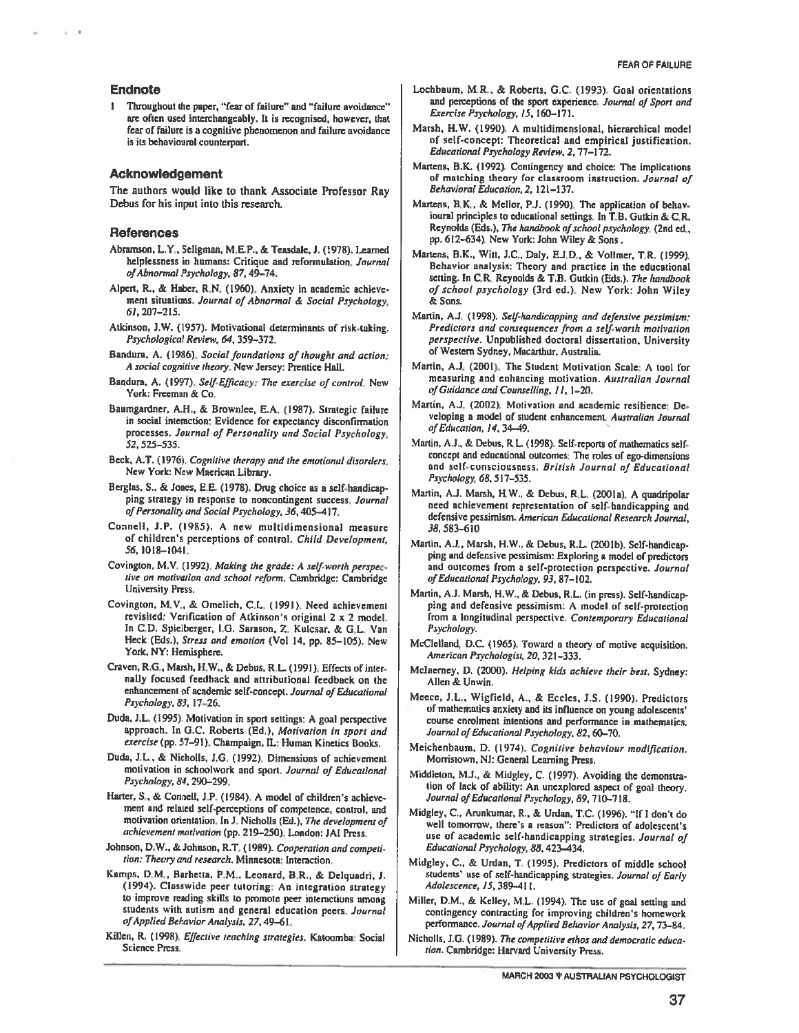## Endnote

1 Throughout the paper, "fear of failure" and "failure avoidance" are often used interchangeably. It is recognised, however, that fear of failure is <sup>a</sup> cognitive phenomenon and failure avoidance is its behavioural counterpart.

#### Acknowledgement

The authors would like to thank Associate Professor Ray Debus for his input into this research.

#### References

- Abramson, L.Y.. Seligman, M.E.P., & Teasdalc, 1. (1978). Learned helplessness in humans: Critique and reformulation. Journal of Abnormal Psychology, 87, 49-74.
- Alpert. R.. & Haber, RN. (1960). Anxiety in academic achieve ment situations. Journal of Abnormal & Social Psychology, 61. 207—215.
- Atkinson, J.W. (1957). Motivational determinants of risk-taking. Psychological Review, 63, 359—372.
- Bandura, A. (1986). Social foundations of thought and action: <sup>A</sup> social cognitive theory. New Jersey: Prentice Hall.
- Bandura, A. (1997). Self-Efficacy: The exercise of control. New York: Freeman & Co.
- Baumgardner. A.H.. & Brownlee, E.A. (1987). Strategic failure in social interaction: Evidence for expectancy disconfinnation processes. Journal of Personality and Social Psychology. 52.525—535.
- Beck, AT. (1976). Cognitive therapy and the emotional disorders, New York: New Macrican Library.
- Berglas. S., & Jones, E.E. (1978). Drug choice as <sup>a</sup> self-handicap <sup>p</sup>ing strategy in response to noneontingent success. Journal of Personality and Social Psychology, 36, 405–417.
- Connell, J.P. (1985). A new multidimensional measure of children's perceptions of control. Child Development, 56,1018—1041.
- Covinglon, MV. (1992). Making the grade: <sup>A</sup> self-worth perspec tive on motivation and school reform. Cambridge: Cambridge University Press.
- Covington, M.V., & Omelich, C.L. (1991). Need achievement revisited: Verification of Atkinson's original <sup>2</sup> <sup>x</sup> <sup>2</sup> model. In CD. Spielberger, IC. Sarason. Z. Kulcsar, & CL. Van Heck (Eds.), Stress and emotion (Vol 14, pp. 85-105). New York, NY: Hemisphere.
- Craven, R.G., Marsh, H.W., & Debus, R.L. (1991). Effects of inter nally focused feedback and attributional feedback on the enhancement of academic self-concept. Journal of Educational Psychology, 83, 17—26.
- Duda. J.L. (1995). Motivation in sport settings: A goal perspective approach. In CC. Roberts (Ed.), Motivation in sport and exercise (pp. 57—91). Champaign, IL: Human Kinetics Books.
- Duda, J.L., & Nicholls, J.G. (1992). Dimensions of achievement molivation in schoolwork and sport. Journal of Educational Psychology, 84, 290-299.
- Harter, S., & Connell, J.P. (1984). A model of children's achievement and related self-perceptions of competence, control, and motivation orientation. In J. Nicholls (Ed.), The development of achievement motivation (pp. 219—250), London: JAI Press,
- Johnson, D.W., & Johnson, R.T. (1989). Cooperation and competition: Theory and research. Minnesota: Interaction.
- Kamps, D.M., Barhetta, P.M., Leonard, B.R., & Delquadri, J. (1994). Classwide peer tutoring: An integration strategy to improve reading skills to promote peer interactions among students with autism and general education peers. Journal of Applied Behavior Analysis, 27, 49-61.
- Killen, R, (1998). Effective teaching strategies. Katoomba: Social Science Press.
- Loehbaum, MR., & Roberts, CC. (1993). Goal orientations and perceptions of the sport experience. Journal of Sport and Exercise Psychology, 15, 160—171,
- Marsh, H.W. (1990). A multidimensional, hierarchical model of self.concept: Theoretical and empirical justification. Educational Psychology Review, 2,77—172.
- Martens, BK. (1992). Contingency and choice: The implications of matching theory for classroom instruction. Journal of Behavioral Education, 2. 121—137.
- Martens, B.K., & Mellor, P.J. (1990). The application of behavioural principles to educational settings. In T.B. Gutkin & C.R. Reynolds (Eds.), The handbook of school psychology. (2nd ed., pp. 612–634), New York: John Wiley & Sons .
- Martens, B.K., Witt, J.C., Daly, E.J.D., & Vollmer, T.R. (1999) Behavior analysis: Theory and practice in the educational setting. In C.R. Reynolds & T.B. Gutkin (Eds.). The handbook of school psychology (3rd ed). New York: John Wiley & Sons.
- Martin, A.J. (1998). Self-handicapping and defensive pessimism: Predictors and consequences from <sup>a</sup> self-worth motivation perspective. Unpublished doctoral dissertation. University of Western Sydney. Macarthur. Australia.
- Martin, A.J. (200!). The Student Motivation Scale: A tool for measuring and enhancing motivation. Australian Journal of Guidance mid Counselling, II, 1—20.
- Martin, A.). (2002). Motivation and academic resilience: De veloping <sup>a</sup> model of student enhancement. Australian Journal of Education, 14, 33—49.
- Martin, A.)., & Debus, R.L. (1998). Self-reports of mathematics selfconcept and educational outcomes: The roles of ego-dimensions and self-consciousness. British Journal of Educational Psychology, 68, 517-535.
- Martin, A.J. Marsh, NW., & Debus, R.L. (2001a). A quadripolar need achievement representation of self-handicapping and defensive pessimism. American Educational Research Journal, 38, 583—610
- Martin, A.J., Marsh. H.W., & Debus, R.L. (200lb). Sclf.handicap ping and defensive pessimism: Exploring a model of predictors and outcomes from <sup>a</sup> self-protection perspective. Journal ofEducational Psychology, 93, 87—102.
- Martin, A.J. Marsh, H.W., & Debus, R.L. (in press). Self-handicap <sup>p</sup>ing and defensive pessimism: A model of self-protection from <sup>a</sup> longitudinal perspective. Contemporary Educational Psychology.
- McClelland. D.C. (1965). Toward a theory of motive acquisition. American Psychologist, 20, 321-333.
- McInerney, D. (2000). Helping kids achieve their best. Sydney: Allen & Unwin.
- Meece, iL., Wigfield, A,, & Eccies, 3.8. (1990), Predictors of mathematics anxiety and its infloence on young adolescents' course enrolment intentions and performance in mathematics. Journal of Educational Psychology, 82, 60-70.
- Meichenbaum, D. (1974). Cognitive behaviour modification. Morristown, NJ: General Learning Press.
- Middleton, M.J., & Midgley, C. (1997). Avoiding the demonstralion of lack of ability: An unexplored aspect of goal theory. Journal of Educational Psychology, 89, 710-718.
- Midgley, C., Arunkumar, R., & Unlan, T.C. (1996). "If <sup>I</sup> don't do well tomorrow, there's <sup>a</sup> reason": Predictors of adolescent's use of academic self-handicapping strategies. Journal of Educational Psychology, 88,423—434.
- Midgley, C., & Urdan, T. (1995). Predictors of middle school students' use of self-handicapping strategies. Journal of Early Adolescence, 15, 389—411.
- Miller, D.M., & Kelley, M.L. (1994). The use of goal setting and contingency contracting for improving children's homework performance. Journal of Applied Behavior Analysis, 27, 73-84.
- Nicholls, J.G. (1989). The competitive ethos and democratic education. Cambridge: Harvard University Press.